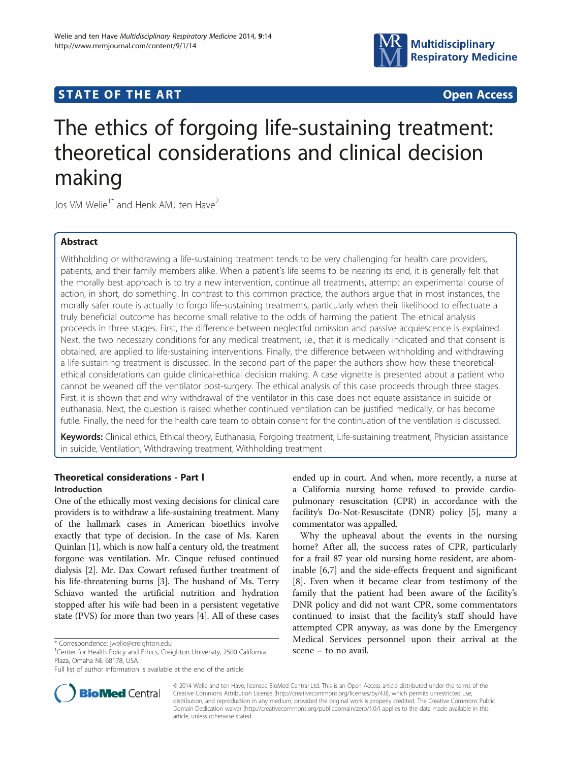

# **STATE OF THE ART STATE OF THE ART**

# The ethics of forgoing life-sustaining treatment: theoretical considerations and clinical decision making

Jos VM Welie<sup>1\*</sup> and Henk AMJ ten Have<sup>2</sup>

# Abstract

Withholding or withdrawing a life-sustaining treatment tends to be very challenging for health care providers, patients, and their family members alike. When a patient's life seems to be nearing its end, it is generally felt that the morally best approach is to try a new intervention, continue all treatments, attempt an experimental course of action, in short, do something. In contrast to this common practice, the authors argue that in most instances, the morally safer route is actually to forgo life-sustaining treatments, particularly when their likelihood to effectuate a truly beneficial outcome has become small relative to the odds of harming the patient. The ethical analysis proceeds in three stages. First, the difference between neglectful omission and passive acquiescence is explained. Next, the two necessary conditions for any medical treatment, i.e., that it is medically indicated and that consent is obtained, are applied to life-sustaining interventions. Finally, the difference between withholding and withdrawing a life-sustaining treatment is discussed. In the second part of the paper the authors show how these theoreticalethical considerations can guide clinical-ethical decision making. A case vignette is presented about a patient who cannot be weaned off the ventilator post-surgery. The ethical analysis of this case proceeds through three stages. First, it is shown that and why withdrawal of the ventilator in this case does not equate assistance in suicide or euthanasia. Next, the question is raised whether continued ventilation can be justified medically, or has become futile. Finally, the need for the health care team to obtain consent for the continuation of the ventilation is discussed.

Keywords: Clinical ethics, Ethical theory, Euthanasia, Forgoing treatment, Life-sustaining treatment, Physician assistance in suicide, Ventilation, Withdrawing treatment, Withholding treatment

# Theoretical considerations - Part l

## Introduction

One of the ethically most vexing decisions for clinical care providers is to withdraw a life-sustaining treatment. Many of the hallmark cases in American bioethics involve exactly that type of decision. In the case of Ms. Karen Quinlan [\[1\]](#page-6-0), which is now half a century old, the treatment forgone was ventilation. Mr. Cinque refused continued dialysis [[2\]](#page-6-0). Mr. Dax Cowart refused further treatment of his life-threatening burns [[3](#page-6-0)]. The husband of Ms. Terry Schiavo wanted the artificial nutrition and hydration stopped after his wife had been in a persistent vegetative state (PVS) for more than two years [[4\]](#page-6-0). All of these cases

ended up in court. And when, more recently, a nurse at a California nursing home refused to provide cardiopulmonary resuscitation (CPR) in accordance with the facility's Do-Not-Resuscitate (DNR) policy [[5](#page-6-0)], many a commentator was appalled.

Why the upheaval about the events in the nursing home? After all, the success rates of CPR, particularly for a frail 87 year old nursing home resident, are abominable [\[6,7](#page-6-0)] and the side-effects frequent and significant [[8\]](#page-6-0). Even when it became clear from testimony of the family that the patient had been aware of the facility's DNR policy and did not want CPR, some commentators continued to insist that the facility's staff should have attempted CPR anyway, as was done by the Emergency Medical Services personnel upon their arrival at the



© 2014 Welie and ten Have; licensee BioMed Central Ltd. This is an Open Access article distributed under the terms of the Creative Commons Attribution License (<http://creativecommons.org/licenses/by/4.0>), which permits unrestricted use, distribution, and reproduction in any medium, provided the original work is properly credited. The Creative Commons Public Domain Dedication waiver [\(http://creativecommons.org/publicdomain/zero/1.0/\)](http://creativecommons.org/publicdomain/zero/1.0/) applies to the data made available in this article, unless otherwise stated.

<sup>\*</sup> Correspondence: [jwelie@creighton.edu](mailto:jwelie@creighton.edu)<br>
<sup>1</sup>Center for Health Policy and Ethics, Creighton University, 2500 California **Scene – to no avail.** Plaza, Omaha NE 68178, USA

Full list of author information is available at the end of the article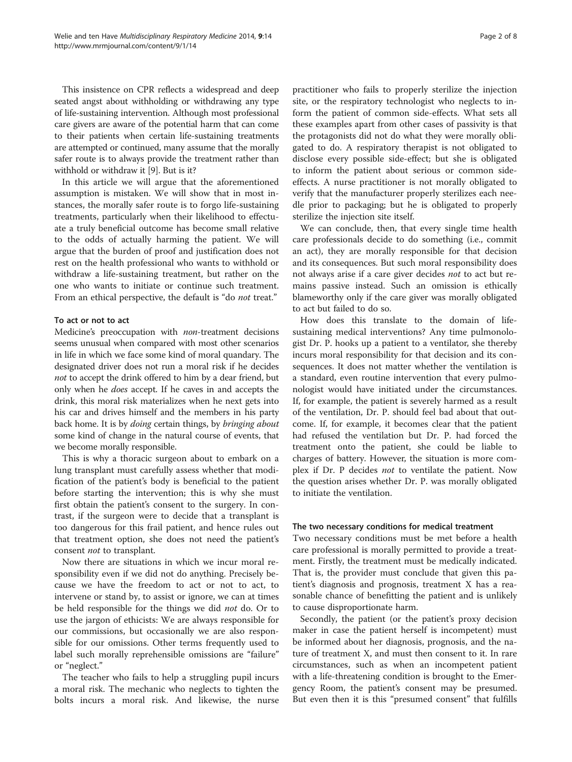This insistence on CPR reflects a widespread and deep seated angst about withholding or withdrawing any type of life-sustaining intervention. Although most professional care givers are aware of the potential harm that can come to their patients when certain life-sustaining treatments are attempted or continued, many assume that the morally safer route is to always provide the treatment rather than withhold or withdraw it [\[9\]](#page-6-0). But is it?

In this article we will argue that the aforementioned assumption is mistaken. We will show that in most instances, the morally safer route is to forgo life-sustaining treatments, particularly when their likelihood to effectuate a truly beneficial outcome has become small relative to the odds of actually harming the patient. We will argue that the burden of proof and justification does not rest on the health professional who wants to withhold or withdraw a life-sustaining treatment, but rather on the one who wants to initiate or continue such treatment. From an ethical perspective, the default is "do not treat."

#### To act or not to act

Medicine's preoccupation with non-treatment decisions seems unusual when compared with most other scenarios in life in which we face some kind of moral quandary. The designated driver does not run a moral risk if he decides not to accept the drink offered to him by a dear friend, but only when he does accept. If he caves in and accepts the drink, this moral risk materializes when he next gets into his car and drives himself and the members in his party back home. It is by doing certain things, by bringing about some kind of change in the natural course of events, that we become morally responsible.

This is why a thoracic surgeon about to embark on a lung transplant must carefully assess whether that modification of the patient's body is beneficial to the patient before starting the intervention; this is why she must first obtain the patient's consent to the surgery. In contrast, if the surgeon were to decide that a transplant is too dangerous for this frail patient, and hence rules out that treatment option, she does not need the patient's consent not to transplant.

Now there are situations in which we incur moral responsibility even if we did not do anything. Precisely because we have the freedom to act or not to act, to intervene or stand by, to assist or ignore, we can at times be held responsible for the things we did *not* do. Or to use the jargon of ethicists: We are always responsible for our commissions, but occasionally we are also responsible for our omissions. Other terms frequently used to label such morally reprehensible omissions are "failure" or "neglect."

The teacher who fails to help a struggling pupil incurs a moral risk. The mechanic who neglects to tighten the bolts incurs a moral risk. And likewise, the nurse

practitioner who fails to properly sterilize the injection site, or the respiratory technologist who neglects to inform the patient of common side-effects. What sets all these examples apart from other cases of passivity is that the protagonists did not do what they were morally obligated to do. A respiratory therapist is not obligated to disclose every possible side-effect; but she is obligated to inform the patient about serious or common sideeffects. A nurse practitioner is not morally obligated to verify that the manufacturer properly sterilizes each needle prior to packaging; but he is obligated to properly sterilize the injection site itself.

We can conclude, then, that every single time health care professionals decide to do something (i.e., commit an act), they are morally responsible for that decision and its consequences. But such moral responsibility does not always arise if a care giver decides not to act but remains passive instead. Such an omission is ethically blameworthy only if the care giver was morally obligated to act but failed to do so.

How does this translate to the domain of lifesustaining medical interventions? Any time pulmonologist Dr. P. hooks up a patient to a ventilator, she thereby incurs moral responsibility for that decision and its consequences. It does not matter whether the ventilation is a standard, even routine intervention that every pulmonologist would have initiated under the circumstances. If, for example, the patient is severely harmed as a result of the ventilation, Dr. P. should feel bad about that outcome. If, for example, it becomes clear that the patient had refused the ventilation but Dr. P. had forced the treatment onto the patient, she could be liable to charges of battery. However, the situation is more complex if Dr. P decides not to ventilate the patient. Now the question arises whether Dr. P. was morally obligated to initiate the ventilation.

#### The two necessary conditions for medical treatment

Two necessary conditions must be met before a health care professional is morally permitted to provide a treatment. Firstly, the treatment must be medically indicated. That is, the provider must conclude that given this patient's diagnosis and prognosis, treatment X has a reasonable chance of benefitting the patient and is unlikely to cause disproportionate harm.

Secondly, the patient (or the patient's proxy decision maker in case the patient herself is incompetent) must be informed about her diagnosis, prognosis, and the nature of treatment X, and must then consent to it. In rare circumstances, such as when an incompetent patient with a life-threatening condition is brought to the Emergency Room, the patient's consent may be presumed. But even then it is this "presumed consent" that fulfills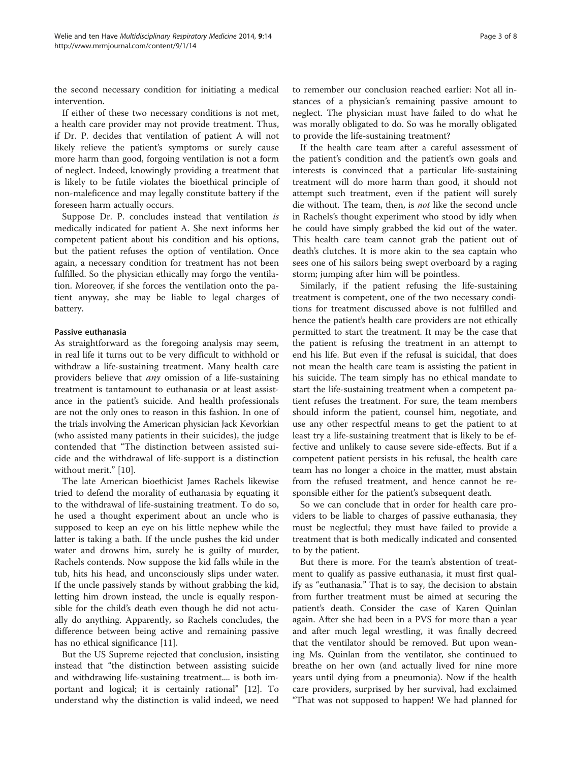the second necessary condition for initiating a medical intervention.

If either of these two necessary conditions is not met, a health care provider may not provide treatment. Thus, if Dr. P. decides that ventilation of patient A will not likely relieve the patient's symptoms or surely cause more harm than good, forgoing ventilation is not a form of neglect. Indeed, knowingly providing a treatment that is likely to be futile violates the bioethical principle of non-maleficence and may legally constitute battery if the foreseen harm actually occurs.

Suppose Dr. P. concludes instead that ventilation is medically indicated for patient A. She next informs her competent patient about his condition and his options, but the patient refuses the option of ventilation. Once again, a necessary condition for treatment has not been fulfilled. So the physician ethically may forgo the ventilation. Moreover, if she forces the ventilation onto the patient anyway, she may be liable to legal charges of battery.

#### Passive euthanasia

As straightforward as the foregoing analysis may seem, in real life it turns out to be very difficult to withhold or withdraw a life-sustaining treatment. Many health care providers believe that any omission of a life-sustaining treatment is tantamount to euthanasia or at least assistance in the patient's suicide. And health professionals are not the only ones to reason in this fashion. In one of the trials involving the American physician Jack Kevorkian (who assisted many patients in their suicides), the judge contended that "The distinction between assisted suicide and the withdrawal of life-support is a distinction without merit." [[10\]](#page-6-0).

The late American bioethicist James Rachels likewise tried to defend the morality of euthanasia by equating it to the withdrawal of life-sustaining treatment. To do so, he used a thought experiment about an uncle who is supposed to keep an eye on his little nephew while the latter is taking a bath. If the uncle pushes the kid under water and drowns him, surely he is guilty of murder, Rachels contends. Now suppose the kid falls while in the tub, hits his head, and unconsciously slips under water. If the uncle passively stands by without grabbing the kid, letting him drown instead, the uncle is equally responsible for the child's death even though he did not actually do anything. Apparently, so Rachels concludes, the difference between being active and remaining passive has no ethical significance [\[11\]](#page-6-0).

But the US Supreme rejected that conclusion, insisting instead that "the distinction between assisting suicide and withdrawing life-sustaining treatment.... is both important and logical; it is certainly rational" [[12\]](#page-7-0). To understand why the distinction is valid indeed, we need to remember our conclusion reached earlier: Not all instances of a physician's remaining passive amount to neglect. The physician must have failed to do what he was morally obligated to do. So was he morally obligated to provide the life-sustaining treatment?

If the health care team after a careful assessment of the patient's condition and the patient's own goals and interests is convinced that a particular life-sustaining treatment will do more harm than good, it should not attempt such treatment, even if the patient will surely die without. The team, then, is not like the second uncle in Rachels's thought experiment who stood by idly when he could have simply grabbed the kid out of the water. This health care team cannot grab the patient out of death's clutches. It is more akin to the sea captain who sees one of his sailors being swept overboard by a raging storm; jumping after him will be pointless.

Similarly, if the patient refusing the life-sustaining treatment is competent, one of the two necessary conditions for treatment discussed above is not fulfilled and hence the patient's health care providers are not ethically permitted to start the treatment. It may be the case that the patient is refusing the treatment in an attempt to end his life. But even if the refusal is suicidal, that does not mean the health care team is assisting the patient in his suicide. The team simply has no ethical mandate to start the life-sustaining treatment when a competent patient refuses the treatment. For sure, the team members should inform the patient, counsel him, negotiate, and use any other respectful means to get the patient to at least try a life-sustaining treatment that is likely to be effective and unlikely to cause severe side-effects. But if a competent patient persists in his refusal, the health care team has no longer a choice in the matter, must abstain from the refused treatment, and hence cannot be responsible either for the patient's subsequent death.

So we can conclude that in order for health care providers to be liable to charges of passive euthanasia, they must be neglectful; they must have failed to provide a treatment that is both medically indicated and consented to by the patient.

But there is more. For the team's abstention of treatment to qualify as passive euthanasia, it must first qualify as "euthanasia." That is to say, the decision to abstain from further treatment must be aimed at securing the patient's death. Consider the case of Karen Quinlan again. After she had been in a PVS for more than a year and after much legal wrestling, it was finally decreed that the ventilator should be removed. But upon weaning Ms. Quinlan from the ventilator, she continued to breathe on her own (and actually lived for nine more years until dying from a pneumonia). Now if the health care providers, surprised by her survival, had exclaimed "That was not supposed to happen! We had planned for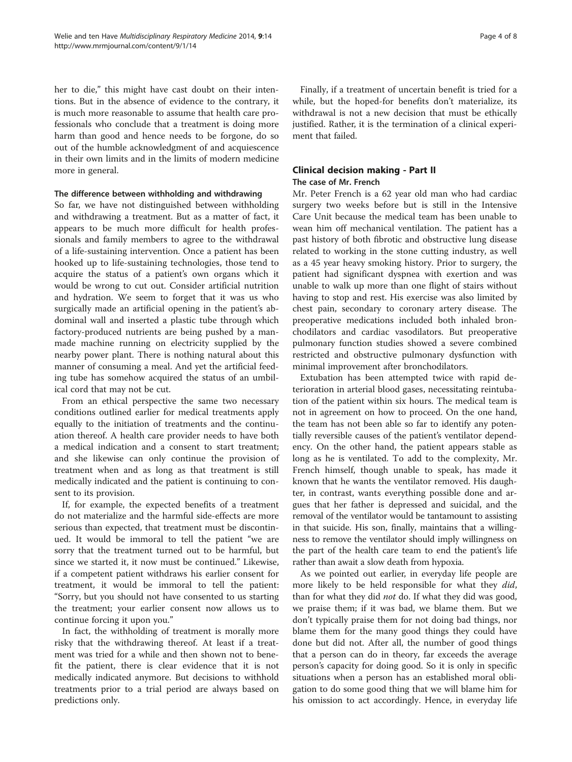her to die," this might have cast doubt on their intentions. But in the absence of evidence to the contrary, it is much more reasonable to assume that health care professionals who conclude that a treatment is doing more harm than good and hence needs to be forgone, do so out of the humble acknowledgment of and acquiescence in their own limits and in the limits of modern medicine more in general.

### The difference between withholding and withdrawing

So far, we have not distinguished between withholding and withdrawing a treatment. But as a matter of fact, it appears to be much more difficult for health professionals and family members to agree to the withdrawal of a life-sustaining intervention. Once a patient has been hooked up to life-sustaining technologies, those tend to acquire the status of a patient's own organs which it would be wrong to cut out. Consider artificial nutrition and hydration. We seem to forget that it was us who surgically made an artificial opening in the patient's abdominal wall and inserted a plastic tube through which factory-produced nutrients are being pushed by a manmade machine running on electricity supplied by the nearby power plant. There is nothing natural about this manner of consuming a meal. And yet the artificial feeding tube has somehow acquired the status of an umbilical cord that may not be cut.

From an ethical perspective the same two necessary conditions outlined earlier for medical treatments apply equally to the initiation of treatments and the continuation thereof. A health care provider needs to have both a medical indication and a consent to start treatment; and she likewise can only continue the provision of treatment when and as long as that treatment is still medically indicated and the patient is continuing to consent to its provision.

If, for example, the expected benefits of a treatment do not materialize and the harmful side-effects are more serious than expected, that treatment must be discontinued. It would be immoral to tell the patient "we are sorry that the treatment turned out to be harmful, but since we started it, it now must be continued." Likewise, if a competent patient withdraws his earlier consent for treatment, it would be immoral to tell the patient: "Sorry, but you should not have consented to us starting the treatment; your earlier consent now allows us to continue forcing it upon you."

In fact, the withholding of treatment is morally more risky that the withdrawing thereof. At least if a treatment was tried for a while and then shown not to benefit the patient, there is clear evidence that it is not medically indicated anymore. But decisions to withhold treatments prior to a trial period are always based on predictions only.

Finally, if a treatment of uncertain benefit is tried for a while, but the hoped-for benefits don't materialize, its withdrawal is not a new decision that must be ethically justified. Rather, it is the termination of a clinical experiment that failed.

# Clinical decision making - Part II The case of Mr. French

Mr. Peter French is a 62 year old man who had cardiac surgery two weeks before but is still in the Intensive Care Unit because the medical team has been unable to wean him off mechanical ventilation. The patient has a past history of both fibrotic and obstructive lung disease related to working in the stone cutting industry, as well as a 45 year heavy smoking history. Prior to surgery, the patient had significant dyspnea with exertion and was unable to walk up more than one flight of stairs without having to stop and rest. His exercise was also limited by chest pain, secondary to coronary artery disease. The preoperative medications included both inhaled bronchodilators and cardiac vasodilators. But preoperative pulmonary function studies showed a severe combined restricted and obstructive pulmonary dysfunction with minimal improvement after bronchodilators.

Extubation has been attempted twice with rapid deterioration in arterial blood gases, necessitating reintubation of the patient within six hours. The medical team is not in agreement on how to proceed. On the one hand, the team has not been able so far to identify any potentially reversible causes of the patient's ventilator dependency. On the other hand, the patient appears stable as long as he is ventilated. To add to the complexity, Mr. French himself, though unable to speak, has made it known that he wants the ventilator removed. His daughter, in contrast, wants everything possible done and argues that her father is depressed and suicidal, and the removal of the ventilator would be tantamount to assisting in that suicide. His son, finally, maintains that a willingness to remove the ventilator should imply willingness on the part of the health care team to end the patient's life rather than await a slow death from hypoxia.

As we pointed out earlier, in everyday life people are more likely to be held responsible for what they *did*, than for what they did *not* do. If what they did was good, we praise them; if it was bad, we blame them. But we don't typically praise them for not doing bad things, nor blame them for the many good things they could have done but did not. After all, the number of good things that a person can do in theory, far exceeds the average person's capacity for doing good. So it is only in specific situations when a person has an established moral obligation to do some good thing that we will blame him for his omission to act accordingly. Hence, in everyday life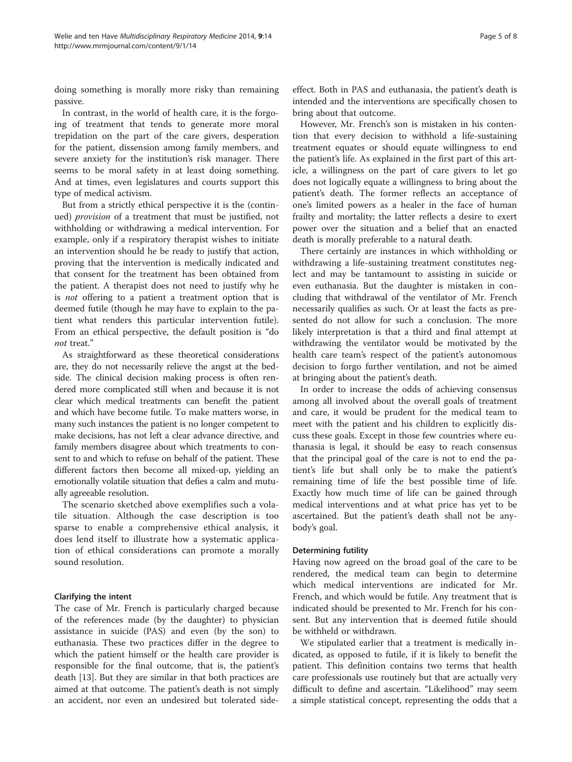doing something is morally more risky than remaining passive.

In contrast, in the world of health care, it is the forgoing of treatment that tends to generate more moral trepidation on the part of the care givers, desperation for the patient, dissension among family members, and severe anxiety for the institution's risk manager. There seems to be moral safety in at least doing something. And at times, even legislatures and courts support this type of medical activism.

But from a strictly ethical perspective it is the (continued) provision of a treatment that must be justified, not withholding or withdrawing a medical intervention. For example, only if a respiratory therapist wishes to initiate an intervention should he be ready to justify that action, proving that the intervention is medically indicated and that consent for the treatment has been obtained from the patient. A therapist does not need to justify why he is not offering to a patient a treatment option that is deemed futile (though he may have to explain to the patient what renders this particular intervention futile). From an ethical perspective, the default position is "do not treat."

As straightforward as these theoretical considerations are, they do not necessarily relieve the angst at the bedside. The clinical decision making process is often rendered more complicated still when and because it is not clear which medical treatments can benefit the patient and which have become futile. To make matters worse, in many such instances the patient is no longer competent to make decisions, has not left a clear advance directive, and family members disagree about which treatments to consent to and which to refuse on behalf of the patient. These different factors then become all mixed-up, yielding an emotionally volatile situation that defies a calm and mutually agreeable resolution.

The scenario sketched above exemplifies such a volatile situation. Although the case description is too sparse to enable a comprehensive ethical analysis, it does lend itself to illustrate how a systematic application of ethical considerations can promote a morally sound resolution.

## Clarifying the intent

The case of Mr. French is particularly charged because of the references made (by the daughter) to physician assistance in suicide (PAS) and even (by the son) to euthanasia. These two practices differ in the degree to which the patient himself or the health care provider is responsible for the final outcome, that is, the patient's death [\[13](#page-7-0)]. But they are similar in that both practices are aimed at that outcome. The patient's death is not simply an accident, nor even an undesired but tolerated side-

effect. Both in PAS and euthanasia, the patient's death is intended and the interventions are specifically chosen to bring about that outcome.

However, Mr. French's son is mistaken in his contention that every decision to withhold a life-sustaining treatment equates or should equate willingness to end the patient's life. As explained in the first part of this article, a willingness on the part of care givers to let go does not logically equate a willingness to bring about the patient's death. The former reflects an acceptance of one's limited powers as a healer in the face of human frailty and mortality; the latter reflects a desire to exert power over the situation and a belief that an enacted death is morally preferable to a natural death.

There certainly are instances in which withholding or withdrawing a life-sustaining treatment constitutes neglect and may be tantamount to assisting in suicide or even euthanasia. But the daughter is mistaken in concluding that withdrawal of the ventilator of Mr. French necessarily qualifies as such. Or at least the facts as presented do not allow for such a conclusion. The more likely interpretation is that a third and final attempt at withdrawing the ventilator would be motivated by the health care team's respect of the patient's autonomous decision to forgo further ventilation, and not be aimed at bringing about the patient's death.

In order to increase the odds of achieving consensus among all involved about the overall goals of treatment and care, it would be prudent for the medical team to meet with the patient and his children to explicitly discuss these goals. Except in those few countries where euthanasia is legal, it should be easy to reach consensus that the principal goal of the care is not to end the patient's life but shall only be to make the patient's remaining time of life the best possible time of life. Exactly how much time of life can be gained through medical interventions and at what price has yet to be ascertained. But the patient's death shall not be anybody's goal.

#### Determining futility

Having now agreed on the broad goal of the care to be rendered, the medical team can begin to determine which medical interventions are indicated for Mr. French, and which would be futile. Any treatment that is indicated should be presented to Mr. French for his consent. But any intervention that is deemed futile should be withheld or withdrawn.

We stipulated earlier that a treatment is medically indicated, as opposed to futile, if it is likely to benefit the patient. This definition contains two terms that health care professionals use routinely but that are actually very difficult to define and ascertain. "Likelihood" may seem a simple statistical concept, representing the odds that a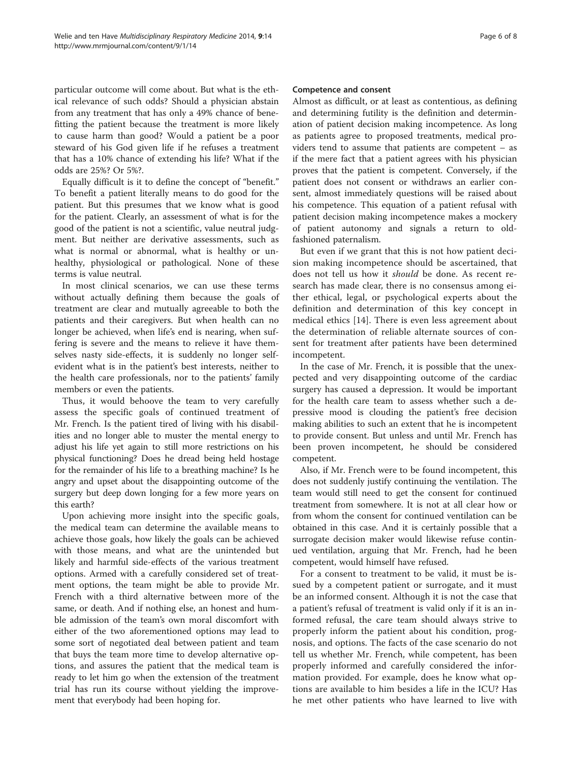particular outcome will come about. But what is the ethical relevance of such odds? Should a physician abstain from any treatment that has only a 49% chance of benefitting the patient because the treatment is more likely to cause harm than good? Would a patient be a poor steward of his God given life if he refuses a treatment that has a 10% chance of extending his life? What if the odds are 25%? Or 5%?.

Equally difficult is it to define the concept of "benefit." To benefit a patient literally means to do good for the patient. But this presumes that we know what is good for the patient. Clearly, an assessment of what is for the good of the patient is not a scientific, value neutral judgment. But neither are derivative assessments, such as what is normal or abnormal, what is healthy or unhealthy, physiological or pathological. None of these terms is value neutral.

In most clinical scenarios, we can use these terms without actually defining them because the goals of treatment are clear and mutually agreeable to both the patients and their caregivers. But when health can no longer be achieved, when life's end is nearing, when suffering is severe and the means to relieve it have themselves nasty side-effects, it is suddenly no longer selfevident what is in the patient's best interests, neither to the health care professionals, nor to the patients' family members or even the patients.

Thus, it would behoove the team to very carefully assess the specific goals of continued treatment of Mr. French. Is the patient tired of living with his disabilities and no longer able to muster the mental energy to adjust his life yet again to still more restrictions on his physical functioning? Does he dread being held hostage for the remainder of his life to a breathing machine? Is he angry and upset about the disappointing outcome of the surgery but deep down longing for a few more years on this earth?

Upon achieving more insight into the specific goals, the medical team can determine the available means to achieve those goals, how likely the goals can be achieved with those means, and what are the unintended but likely and harmful side-effects of the various treatment options. Armed with a carefully considered set of treatment options, the team might be able to provide Mr. French with a third alternative between more of the same, or death. And if nothing else, an honest and humble admission of the team's own moral discomfort with either of the two aforementioned options may lead to some sort of negotiated deal between patient and team that buys the team more time to develop alternative options, and assures the patient that the medical team is ready to let him go when the extension of the treatment trial has run its course without yielding the improvement that everybody had been hoping for.

#### Competence and consent

Almost as difficult, or at least as contentious, as defining and determining futility is the definition and determination of patient decision making incompetence. As long as patients agree to proposed treatments, medical providers tend to assume that patients are competent – as if the mere fact that a patient agrees with his physician proves that the patient is competent. Conversely, if the patient does not consent or withdraws an earlier consent, almost immediately questions will be raised about his competence. This equation of a patient refusal with patient decision making incompetence makes a mockery of patient autonomy and signals a return to oldfashioned paternalism.

But even if we grant that this is not how patient decision making incompetence should be ascertained, that does not tell us how it should be done. As recent research has made clear, there is no consensus among either ethical, legal, or psychological experts about the definition and determination of this key concept in medical ethics [[14](#page-7-0)]. There is even less agreement about the determination of reliable alternate sources of consent for treatment after patients have been determined incompetent.

In the case of Mr. French, it is possible that the unexpected and very disappointing outcome of the cardiac surgery has caused a depression. It would be important for the health care team to assess whether such a depressive mood is clouding the patient's free decision making abilities to such an extent that he is incompetent to provide consent. But unless and until Mr. French has been proven incompetent, he should be considered competent.

Also, if Mr. French were to be found incompetent, this does not suddenly justify continuing the ventilation. The team would still need to get the consent for continued treatment from somewhere. It is not at all clear how or from whom the consent for continued ventilation can be obtained in this case. And it is certainly possible that a surrogate decision maker would likewise refuse continued ventilation, arguing that Mr. French, had he been competent, would himself have refused.

For a consent to treatment to be valid, it must be issued by a competent patient or surrogate, and it must be an informed consent. Although it is not the case that a patient's refusal of treatment is valid only if it is an informed refusal, the care team should always strive to properly inform the patient about his condition, prognosis, and options. The facts of the case scenario do not tell us whether Mr. French, while competent, has been properly informed and carefully considered the information provided. For example, does he know what options are available to him besides a life in the ICU? Has he met other patients who have learned to live with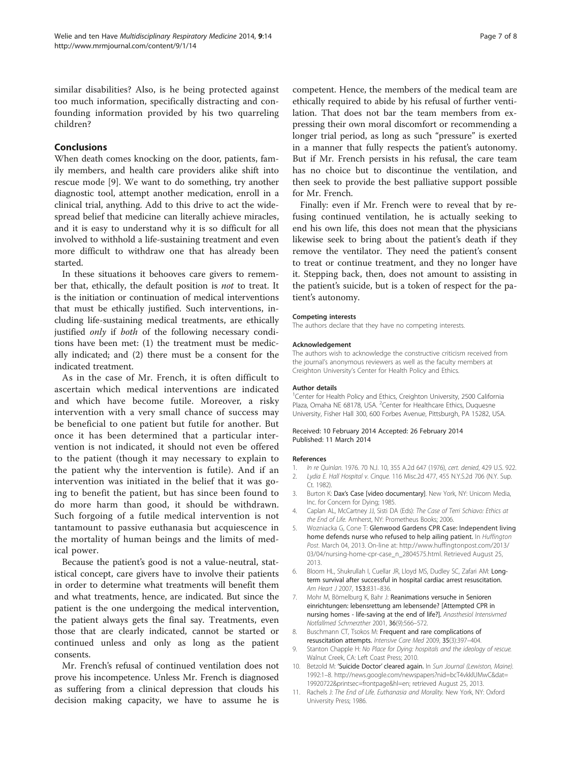<span id="page-6-0"></span>similar disabilities? Also, is he being protected against too much information, specifically distracting and confounding information provided by his two quarreling children?

### Conclusions

When death comes knocking on the door, patients, family members, and health care providers alike shift into rescue mode [9]. We want to do something, try another diagnostic tool, attempt another medication, enroll in a clinical trial, anything. Add to this drive to act the widespread belief that medicine can literally achieve miracles, and it is easy to understand why it is so difficult for all involved to withhold a life-sustaining treatment and even more difficult to withdraw one that has already been started.

In these situations it behooves care givers to remember that, ethically, the default position is not to treat. It is the initiation or continuation of medical interventions that must be ethically justified. Such interventions, including life-sustaining medical treatments, are ethically justified only if both of the following necessary conditions have been met: (1) the treatment must be medically indicated; and (2) there must be a consent for the indicated treatment.

As in the case of Mr. French, it is often difficult to ascertain which medical interventions are indicated and which have become futile. Moreover, a risky intervention with a very small chance of success may be beneficial to one patient but futile for another. But once it has been determined that a particular intervention is not indicated, it should not even be offered to the patient (though it may necessary to explain to the patient why the intervention is futile). And if an intervention was initiated in the belief that it was going to benefit the patient, but has since been found to do more harm than good, it should be withdrawn. Such forgoing of a futile medical intervention is not tantamount to passive euthanasia but acquiescence in the mortality of human beings and the limits of medical power.

Because the patient's good is not a value-neutral, statistical concept, care givers have to involve their patients in order to determine what treatments will benefit them and what treatments, hence, are indicated. But since the patient is the one undergoing the medical intervention, the patient always gets the final say. Treatments, even those that are clearly indicated, cannot be started or continued unless and only as long as the patient consents.

Mr. French's refusal of continued ventilation does not prove his incompetence. Unless Mr. French is diagnosed as suffering from a clinical depression that clouds his decision making capacity, we have to assume he is

competent. Hence, the members of the medical team are ethically required to abide by his refusal of further ventilation. That does not bar the team members from expressing their own moral discomfort or recommending a longer trial period, as long as such "pressure" is exerted in a manner that fully respects the patient's autonomy. But if Mr. French persists in his refusal, the care team has no choice but to discontinue the ventilation, and then seek to provide the best palliative support possible for Mr. French.

Finally: even if Mr. French were to reveal that by refusing continued ventilation, he is actually seeking to end his own life, this does not mean that the physicians likewise seek to bring about the patient's death if they remove the ventilator. They need the patient's consent to treat or continue treatment, and they no longer have it. Stepping back, then, does not amount to assisting in the patient's suicide, but is a token of respect for the patient's autonomy.

#### Competing interests

The authors declare that they have no competing interests.

#### Acknowledgement

The authors wish to acknowledge the constructive criticism received from the journal's anonymous reviewers as well as the faculty members at Creighton University's Center for Health Policy and Ethics.

#### Author details

<sup>1</sup> Center for Health Policy and Ethics, Creighton University, 2500 California Plaza, Omaha NE 68178, USA. <sup>2</sup> Center for Healthcare Ethics, Duquesne University, Fisher Hall 300, 600 Forbes Avenue, Pittsburgh, PA 15282, USA.

#### Received: 10 February 2014 Accepted: 26 February 2014 Published: 11 March 2014

#### References

- 1. In re Quinlan. 1976. 70 N.J. 10, 355 A.2d 647 (1976), cert. denied, 429 U.S. 922.
- 2. Lydia E. Hall Hospital v. Cinque. 116 Misc.2d 477, 455 N.Y.S.2d 706 (N.Y. Sup. Ct. 1982).
- 3. Burton K: Dax's Case [video documentary]. New York, NY: Unicorn Media, Inc. for Concern for Dying; 1985.
- 4. Caplan AL, McCartney JJ, Sisti DA (Eds): The Case of Terri Schiavo: Ethics at the End of Life. Amherst, NY: Prometheus Books; 2006.
- 5. Wozniacka G, Cone T: Glenwood Gardens CPR Case: Independent living home defends nurse who refused to help ailing patient. In Huffington Post. March 04, 2013. On-line at: [http://www.huffingtonpost.com/2013/](http://www.huffingtonpost.com/2013/03/04/nursing-home-cpr-case_n_2804575.html) [03/04/nursing-home-cpr-case\\_n\\_2804575.html](http://www.huffingtonpost.com/2013/03/04/nursing-home-cpr-case_n_2804575.html). Retrieved August 25, 2013.
- 6. Bloom HL, Shukrullah I, Cuellar JR, Lloyd MS, Dudley SC, Zafari AM: Longterm survival after successful in hospital cardiac arrest resuscitation. Am Heart J 2007, 153:831–836.
- 7. Mohr M, Bömelburg K, Bahr J: Reanimations versuche in Senioren einrichtungen: lebensrettung am lebensende? [Attempted CPR in nursing homes - life-saving at the end of life?]. Anasthesiol Intensivmed Notfallmed Schmerzther 2001, 36(9):566–572.
- 8. Buschmann CT, Tsokos M: Frequent and rare complications of resuscitation attempts. Intensive Care Med 2009, 35(3):397–404.
- 9. Stanton Chapple H: No Place for Dying: hospitals and the ideology of rescue. Walnut Creek, CA: Left Coast Press; 2010.
- 10. Betzold M: 'Suicide Doctor' cleared again. In Sun Journal (Lewiston, Maine). 1992:1–8. [http://news.google.com/newspapers?nid=bcT4vkklUMwC&dat=](http://news.google.com/newspapers?nid=bcT4vkklUMwC&dat=19920722&printsec=frontpage&hl=en) [19920722&printsec=frontpage&hl=en](http://news.google.com/newspapers?nid=bcT4vkklUMwC&dat=19920722&printsec=frontpage&hl=en); retrieved August 25, 2013.
- 11. Rachels J: The End of Life. Euthanasia and Morality. New York, NY: Oxford University Press; 1986.